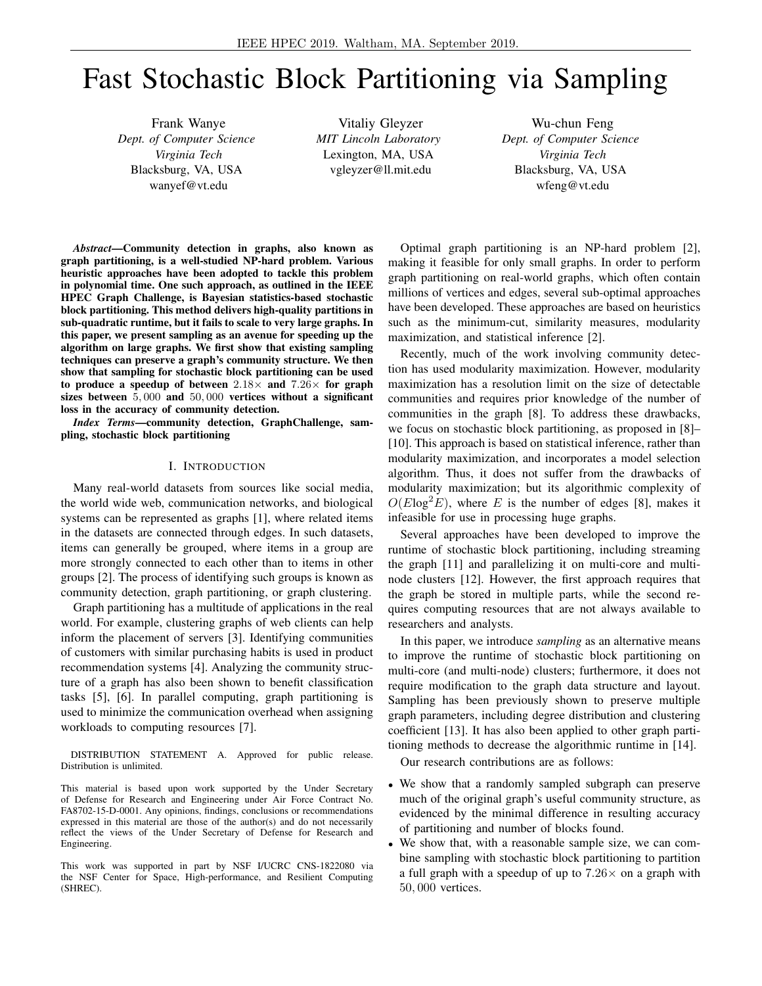# Fast Stochastic Block Partitioning via Sampling

Frank Wanye *Dept. of Computer Science Virginia Tech* Blacksburg, VA, USA wanyef@vt.edu

Vitaliy Gleyzer *MIT Lincoln Laboratory* Lexington, MA, USA vgleyzer@ll.mit.edu

Wu-chun Feng *Dept. of Computer Science Virginia Tech* Blacksburg, VA, USA wfeng@vt.edu

*Abstract*—Community detection in graphs, also known as graph partitioning, is a well-studied NP-hard problem. Various heuristic approaches have been adopted to tackle this problem in polynomial time. One such approach, as outlined in the IEEE HPEC Graph Challenge, is Bayesian statistics-based stochastic block partitioning. This method delivers high-quality partitions in sub-quadratic runtime, but it fails to scale to very large graphs. In this paper, we present sampling as an avenue for speeding up the algorithm on large graphs. We first show that existing sampling techniques can preserve a graph's community structure. We then show that sampling for stochastic block partitioning can be used to produce a speedup of between  $2.18\times$  and  $7.26\times$  for graph sizes between 5, 000 and 50, 000 vertices without a significant loss in the accuracy of community detection.

*Index Terms*—community detection, GraphChallenge, sampling, stochastic block partitioning

## I. INTRODUCTION

Many real-world datasets from sources like social media, the world wide web, communication networks, and biological systems can be represented as graphs [1], where related items in the datasets are connected through edges. In such datasets, items can generally be grouped, where items in a group are more strongly connected to each other than to items in other groups [2]. The process of identifying such groups is known as community detection, graph partitioning, or graph clustering.

Graph partitioning has a multitude of applications in the real world. For example, clustering graphs of web clients can help inform the placement of servers [3]. Identifying communities of customers with similar purchasing habits is used in product recommendation systems [4]. Analyzing the community structure of a graph has also been shown to benefit classification tasks [5], [6]. In parallel computing, graph partitioning is used to minimize the communication overhead when assigning workloads to computing resources [7].

DISTRIBUTION STATEMENT A. Approved for public release. Distribution is unlimited.

This material is based upon work supported by the Under Secretary of Defense for Research and Engineering under Air Force Contract No. FA8702-15-D-0001. Any opinions, findings, conclusions or recommendations expressed in this material are those of the author(s) and do not necessarily reflect the views of the Under Secretary of Defense for Research and Engineering.

This work was supported in part by NSF I/UCRC CNS-1822080 via the NSF Center for Space, High-performance, and Resilient Computing (SHREC).

Optimal graph partitioning is an NP-hard problem [2], making it feasible for only small graphs. In order to perform graph partitioning on real-world graphs, which often contain millions of vertices and edges, several sub-optimal approaches have been developed. These approaches are based on heuristics such as the minimum-cut, similarity measures, modularity maximization, and statistical inference [2].

Recently, much of the work involving community detection has used modularity maximization. However, modularity maximization has a resolution limit on the size of detectable communities and requires prior knowledge of the number of communities in the graph [8]. To address these drawbacks, we focus on stochastic block partitioning, as proposed in [8]– [10]. This approach is based on statistical inference, rather than modularity maximization, and incorporates a model selection algorithm. Thus, it does not suffer from the drawbacks of modularity maximization; but its algorithmic complexity of  $O(Elog^2 E)$ , where E is the number of edges [8], makes it infeasible for use in processing huge graphs.

Several approaches have been developed to improve the runtime of stochastic block partitioning, including streaming the graph [11] and parallelizing it on multi-core and multinode clusters [12]. However, the first approach requires that the graph be stored in multiple parts, while the second requires computing resources that are not always available to researchers and analysts.

In this paper, we introduce *sampling* as an alternative means to improve the runtime of stochastic block partitioning on multi-core (and multi-node) clusters; furthermore, it does not require modification to the graph data structure and layout. Sampling has been previously shown to preserve multiple graph parameters, including degree distribution and clustering coefficient [13]. It has also been applied to other graph partitioning methods to decrease the algorithmic runtime in [14].

Our research contributions are as follows:

- We show that a randomly sampled subgraph can preserve much of the original graph's useful community structure, as evidenced by the minimal difference in resulting accuracy of partitioning and number of blocks found.
- We show that, with a reasonable sample size, we can combine sampling with stochastic block partitioning to partition a full graph with a speedup of up to  $7.26 \times$  on a graph with 50, 000 vertices.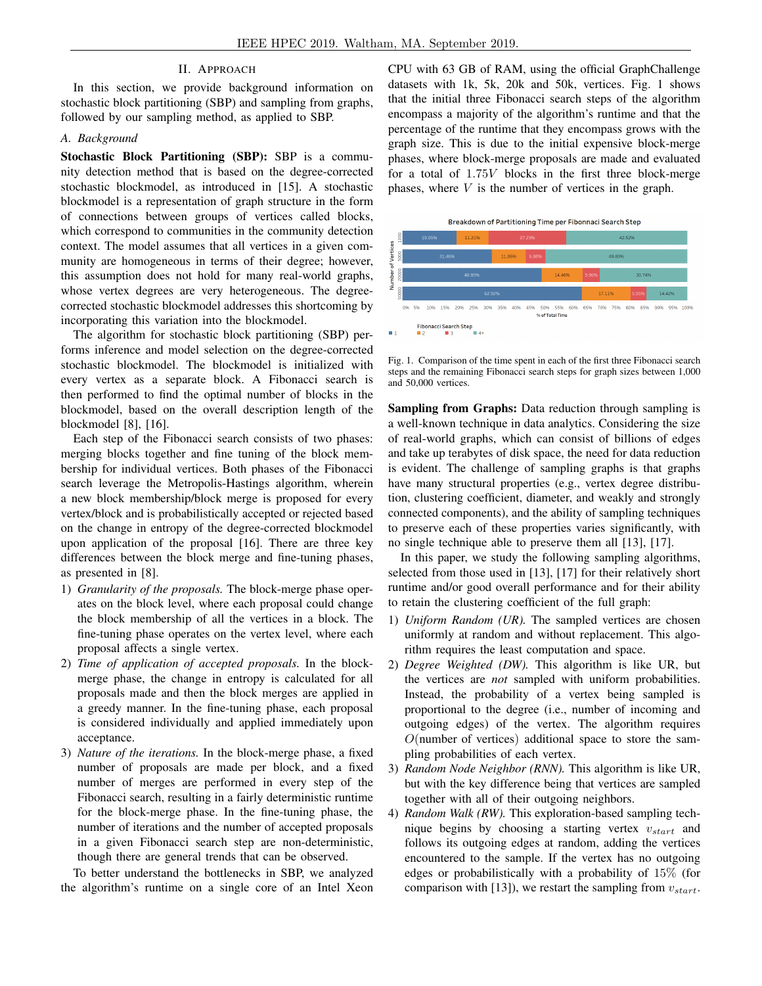## II. APPROACH

In this section, we provide background information on stochastic block partitioning (SBP) and sampling from graphs, followed by our sampling method, as applied to SBP.

## *A. Background*

Stochastic Block Partitioning (SBP): SBP is a community detection method that is based on the degree-corrected stochastic blockmodel, as introduced in [15]. A stochastic blockmodel is a representation of graph structure in the form of connections between groups of vertices called blocks, which correspond to communities in the community detection context. The model assumes that all vertices in a given community are homogeneous in terms of their degree; however, this assumption does not hold for many real-world graphs, whose vertex degrees are very heterogeneous. The degreecorrected stochastic blockmodel addresses this shortcoming by incorporating this variation into the blockmodel.

The algorithm for stochastic block partitioning (SBP) performs inference and model selection on the degree-corrected stochastic blockmodel. The blockmodel is initialized with every vertex as a separate block. A Fibonacci search is then performed to find the optimal number of blocks in the blockmodel, based on the overall description length of the blockmodel [8], [16].

Each step of the Fibonacci search consists of two phases: merging blocks together and fine tuning of the block membership for individual vertices. Both phases of the Fibonacci search leverage the Metropolis-Hastings algorithm, wherein a new block membership/block merge is proposed for every vertex/block and is probabilistically accepted or rejected based on the change in entropy of the degree-corrected blockmodel upon application of the proposal [16]. There are three key differences between the block merge and fine-tuning phases, as presented in [8].

- 1) *Granularity of the proposals.* The block-merge phase operates on the block level, where each proposal could change the block membership of all the vertices in a block. The fine-tuning phase operates on the vertex level, where each proposal affects a single vertex.
- 2) *Time of application of accepted proposals.* In the blockmerge phase, the change in entropy is calculated for all proposals made and then the block merges are applied in a greedy manner. In the fine-tuning phase, each proposal is considered individually and applied immediately upon acceptance.
- 3) *Nature of the iterations.* In the block-merge phase, a fixed number of proposals are made per block, and a fixed number of merges are performed in every step of the Fibonacci search, resulting in a fairly deterministic runtime for the block-merge phase. In the fine-tuning phase, the number of iterations and the number of accepted proposals in a given Fibonacci search step are non-deterministic, though there are general trends that can be observed.

To better understand the bottlenecks in SBP, we analyzed the algorithm's runtime on a single core of an Intel Xeon CPU with 63 GB of RAM, using the official GraphChallenge datasets with 1k, 5k, 20k and 50k, vertices. Fig. 1 shows that the initial three Fibonacci search steps of the algorithm encompass a majority of the algorithm's runtime and that the percentage of the runtime that they encompass grows with the graph size. This is due to the initial expensive block-merge phases, where block-merge proposals are made and evaluated for a total of 1.75V blocks in the first three block-merge phases, where  $V$  is the number of vertices in the graph.



Fig. 1. Comparison of the time spent in each of the first three Fibonacci search steps and the remaining Fibonacci search steps for graph sizes between 1,000 and 50,000 vertices.

Sampling from Graphs: Data reduction through sampling is a well-known technique in data analytics. Considering the size of real-world graphs, which can consist of billions of edges and take up terabytes of disk space, the need for data reduction is evident. The challenge of sampling graphs is that graphs have many structural properties (e.g., vertex degree distribution, clustering coefficient, diameter, and weakly and strongly connected components), and the ability of sampling techniques to preserve each of these properties varies significantly, with no single technique able to preserve them all [13], [17].

In this paper, we study the following sampling algorithms, selected from those used in [13], [17] for their relatively short runtime and/or good overall performance and for their ability to retain the clustering coefficient of the full graph:

- 1) *Uniform Random (UR).* The sampled vertices are chosen uniformly at random and without replacement. This algorithm requires the least computation and space.
- 2) *Degree Weighted (DW).* This algorithm is like UR, but the vertices are *not* sampled with uniform probabilities. Instead, the probability of a vertex being sampled is proportional to the degree (i.e., number of incoming and outgoing edges) of the vertex. The algorithm requires  $O$ (number of vertices) additional space to store the sampling probabilities of each vertex.
- 3) *Random Node Neighbor (RNN).* This algorithm is like UR, but with the key difference being that vertices are sampled together with all of their outgoing neighbors.
- 4) *Random Walk (RW).* This exploration-based sampling technique begins by choosing a starting vertex  $v_{start}$  and follows its outgoing edges at random, adding the vertices encountered to the sample. If the vertex has no outgoing edges or probabilistically with a probability of 15% (for comparison with [13]), we restart the sampling from  $v_{start}$ .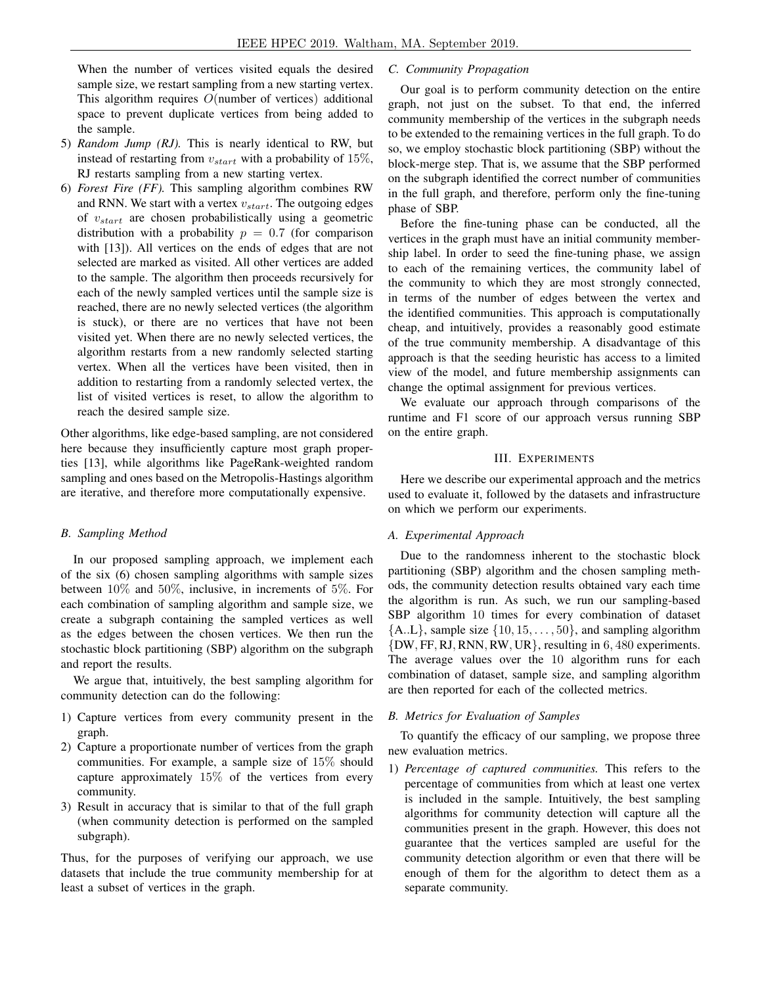When the number of vertices visited equals the desired sample size, we restart sampling from a new starting vertex. This algorithm requires O(number of vertices) additional space to prevent duplicate vertices from being added to the sample.

- 5) *Random Jump (RJ).* This is nearly identical to RW, but instead of restarting from  $v_{start}$  with a probability of 15%, RJ restarts sampling from a new starting vertex.
- 6) *Forest Fire (FF).* This sampling algorithm combines RW and RNN. We start with a vertex  $v_{start}$ . The outgoing edges of  $v_{start}$  are chosen probabilistically using a geometric distribution with a probability  $p = 0.7$  (for comparison with [13]). All vertices on the ends of edges that are not selected are marked as visited. All other vertices are added to the sample. The algorithm then proceeds recursively for each of the newly sampled vertices until the sample size is reached, there are no newly selected vertices (the algorithm is stuck), or there are no vertices that have not been visited yet. When there are no newly selected vertices, the algorithm restarts from a new randomly selected starting vertex. When all the vertices have been visited, then in addition to restarting from a randomly selected vertex, the list of visited vertices is reset, to allow the algorithm to reach the desired sample size.

Other algorithms, like edge-based sampling, are not considered here because they insufficiently capture most graph properties [13], while algorithms like PageRank-weighted random sampling and ones based on the Metropolis-Hastings algorithm are iterative, and therefore more computationally expensive.

# *B. Sampling Method*

In our proposed sampling approach, we implement each of the six (6) chosen sampling algorithms with sample sizes between 10% and 50%, inclusive, in increments of 5%. For each combination of sampling algorithm and sample size, we create a subgraph containing the sampled vertices as well as the edges between the chosen vertices. We then run the stochastic block partitioning (SBP) algorithm on the subgraph and report the results.

We argue that, intuitively, the best sampling algorithm for community detection can do the following:

- 1) Capture vertices from every community present in the graph.
- 2) Capture a proportionate number of vertices from the graph communities. For example, a sample size of 15% should capture approximately 15% of the vertices from every community.
- 3) Result in accuracy that is similar to that of the full graph (when community detection is performed on the sampled subgraph).

Thus, for the purposes of verifying our approach, we use datasets that include the true community membership for at least a subset of vertices in the graph.

# *C. Community Propagation*

Our goal is to perform community detection on the entire graph, not just on the subset. To that end, the inferred community membership of the vertices in the subgraph needs to be extended to the remaining vertices in the full graph. To do so, we employ stochastic block partitioning (SBP) without the block-merge step. That is, we assume that the SBP performed on the subgraph identified the correct number of communities in the full graph, and therefore, perform only the fine-tuning phase of SBP.

Before the fine-tuning phase can be conducted, all the vertices in the graph must have an initial community membership label. In order to seed the fine-tuning phase, we assign to each of the remaining vertices, the community label of the community to which they are most strongly connected, in terms of the number of edges between the vertex and the identified communities. This approach is computationally cheap, and intuitively, provides a reasonably good estimate of the true community membership. A disadvantage of this approach is that the seeding heuristic has access to a limited view of the model, and future membership assignments can change the optimal assignment for previous vertices.

We evaluate our approach through comparisons of the runtime and F1 score of our approach versus running SBP on the entire graph.

## III. EXPERIMENTS

Here we describe our experimental approach and the metrics used to evaluate it, followed by the datasets and infrastructure on which we perform our experiments.

## *A. Experimental Approach*

Due to the randomness inherent to the stochastic block partitioning (SBP) algorithm and the chosen sampling methods, the community detection results obtained vary each time the algorithm is run. As such, we run our sampling-based SBP algorithm 10 times for every combination of dataset  ${A.L}$ , sample size  ${10, 15, \ldots, 50}$ , and sampling algorithm {DW, FF, RJ, RNN, RW, UR}, resulting in 6, 480 experiments. The average values over the 10 algorithm runs for each combination of dataset, sample size, and sampling algorithm are then reported for each of the collected metrics.

## *B. Metrics for Evaluation of Samples*

To quantify the efficacy of our sampling, we propose three new evaluation metrics.

1) *Percentage of captured communities.* This refers to the percentage of communities from which at least one vertex is included in the sample. Intuitively, the best sampling algorithms for community detection will capture all the communities present in the graph. However, this does not guarantee that the vertices sampled are useful for the community detection algorithm or even that there will be enough of them for the algorithm to detect them as a separate community.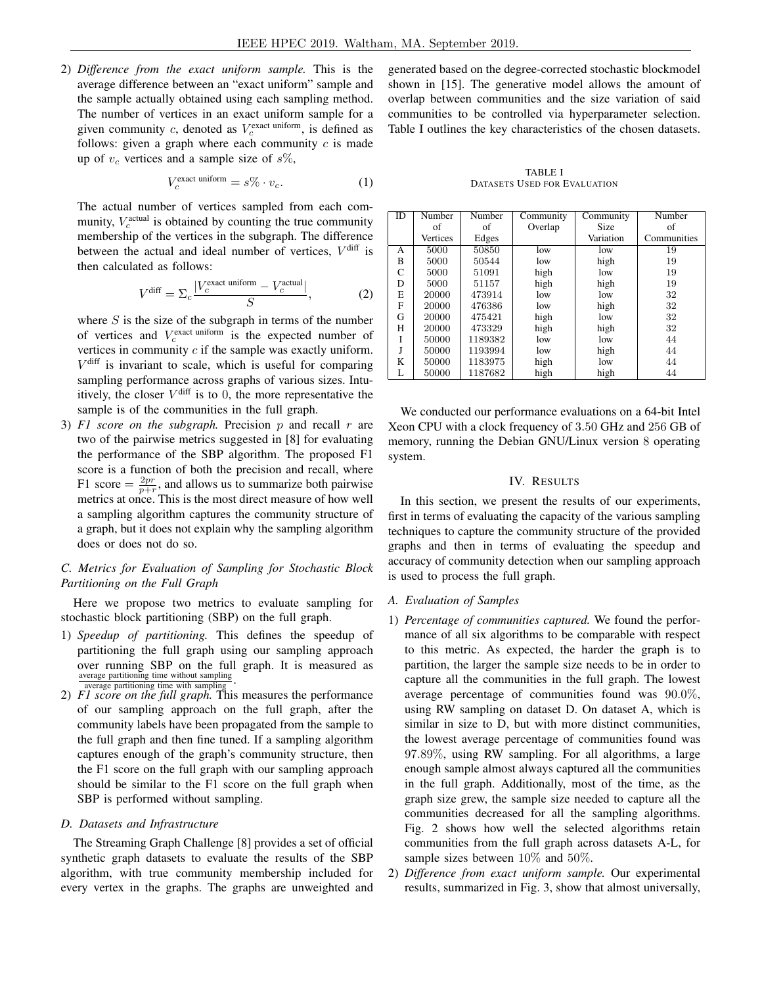2) *Difference from the exact uniform sample.* This is the average difference between an "exact uniform" sample and the sample actually obtained using each sampling method. The number of vertices in an exact uniform sample for a given community c, denoted as  $V_c^{\text{exact uniform}}$ , is defined as follows: given a graph where each community  $c$  is made up of  $v_c$  vertices and a sample size of  $s\%$ ,

$$
V_c^{\text{exact uniform}} = s\% \cdot v_c. \tag{1}
$$

The actual number of vertices sampled from each community,  $V_c^{\text{actual}}$  is obtained by counting the true community membership of the vertices in the subgraph. The difference between the actual and ideal number of vertices,  $V^{\text{diff}}$  is then calculated as follows:

$$
V^{\text{diff}} = \Sigma_c \frac{|V_c^{\text{exact uniform}} - V_c^{\text{actual}}|}{S},\tag{2}
$$

where  $S$  is the size of the subgraph in terms of the number of vertices and  $V_c^{\text{exact uniform}}$  is the expected number of vertices in community  $c$  if the sample was exactly uniform.  $V^{\text{diff}}$  is invariant to scale, which is useful for comparing sampling performance across graphs of various sizes. Intuitively, the closer  $V^{\text{diff}}$  is to 0, the more representative the sample is of the communities in the full graph.

3)  $F1$  score on the subgraph. Precision  $p$  and recall  $r$  are two of the pairwise metrics suggested in [8] for evaluating the performance of the SBP algorithm. The proposed F1 score is a function of both the precision and recall, where F1 score  $=$   $\frac{2pr}{p+r}$ , and allows us to summarize both pairwise metrics at once. This is the most direct measure of how well a sampling algorithm captures the community structure of a graph, but it does not explain why the sampling algorithm does or does not do so.

# *C. Metrics for Evaluation of Sampling for Stochastic Block Partitioning on the Full Graph*

Here we propose two metrics to evaluate sampling for stochastic block partitioning (SBP) on the full graph.

- 1) *Speedup of partitioning.* This defines the speedup of partitioning the full graph using our sampling approach over running SBP on the full graph. It is measured as average partitioning time without sampling average partitioning time with sampling
- 2) *F1 score on the full graph.* This measures the performance of our sampling approach on the full graph, after the community labels have been propagated from the sample to the full graph and then fine tuned. If a sampling algorithm captures enough of the graph's community structure, then the F1 score on the full graph with our sampling approach should be similar to the F1 score on the full graph when SBP is performed without sampling.

## *D. Datasets and Infrastructure*

The Streaming Graph Challenge [8] provides a set of official synthetic graph datasets to evaluate the results of the SBP algorithm, with true community membership included for every vertex in the graphs. The graphs are unweighted and generated based on the degree-corrected stochastic blockmodel shown in [15]. The generative model allows the amount of overlap between communities and the size variation of said communities to be controlled via hyperparameter selection. Table I outlines the key characteristics of the chosen datasets.

TABLE I DATASETS USED FOR EVALUATION

| ID | Number   | Number  | Community | Community   | Number      |
|----|----------|---------|-----------|-------------|-------------|
|    | of       | of      | Overlap   | <b>Size</b> | οf          |
|    | Vertices | Edges   |           | Variation   | Communities |
| А  | 5000     | 50850   | low       | low         | 19          |
| B  | 5000     | 50544   | low       | high        | 19          |
| C  | 5000     | 51091   | high      | low         | 19          |
| D  | 5000     | 51157   | high      | high        | 19          |
| E  | 20000    | 473914  | low       | low         | 32          |
| F  | 20000    | 476386  | low       | high        | 32          |
| G  | 20000    | 475421  | high      | low         | 32          |
| н  | 20000    | 473329  | high      | high        | 32          |
| Ī  | 50000    | 1189382 | low       | low         | 44          |
| J  | 50000    | 1193994 | low       | high        | 44          |
| K  | 50000    | 1183975 | high      | low         | 44          |
| L  | 50000    | 1187682 | high      | high        | 44          |

We conducted our performance evaluations on a 64-bit Intel Xeon CPU with a clock frequency of 3.50 GHz and 256 GB of memory, running the Debian GNU/Linux version 8 operating system.

#### IV. RESULTS

In this section, we present the results of our experiments, first in terms of evaluating the capacity of the various sampling techniques to capture the community structure of the provided graphs and then in terms of evaluating the speedup and accuracy of community detection when our sampling approach is used to process the full graph.

# *A. Evaluation of Samples*

- 1) *Percentage of communities captured.* We found the performance of all six algorithms to be comparable with respect to this metric. As expected, the harder the graph is to partition, the larger the sample size needs to be in order to capture all the communities in the full graph. The lowest average percentage of communities found was 90.0%, using RW sampling on dataset D. On dataset A, which is similar in size to D, but with more distinct communities, the lowest average percentage of communities found was 97.89%, using RW sampling. For all algorithms, a large enough sample almost always captured all the communities in the full graph. Additionally, most of the time, as the graph size grew, the sample size needed to capture all the communities decreased for all the sampling algorithms. Fig. 2 shows how well the selected algorithms retain communities from the full graph across datasets A-L, for sample sizes between 10% and 50%.
- 2) *Difference from exact uniform sample.* Our experimental results, summarized in Fig. 3, show that almost universally,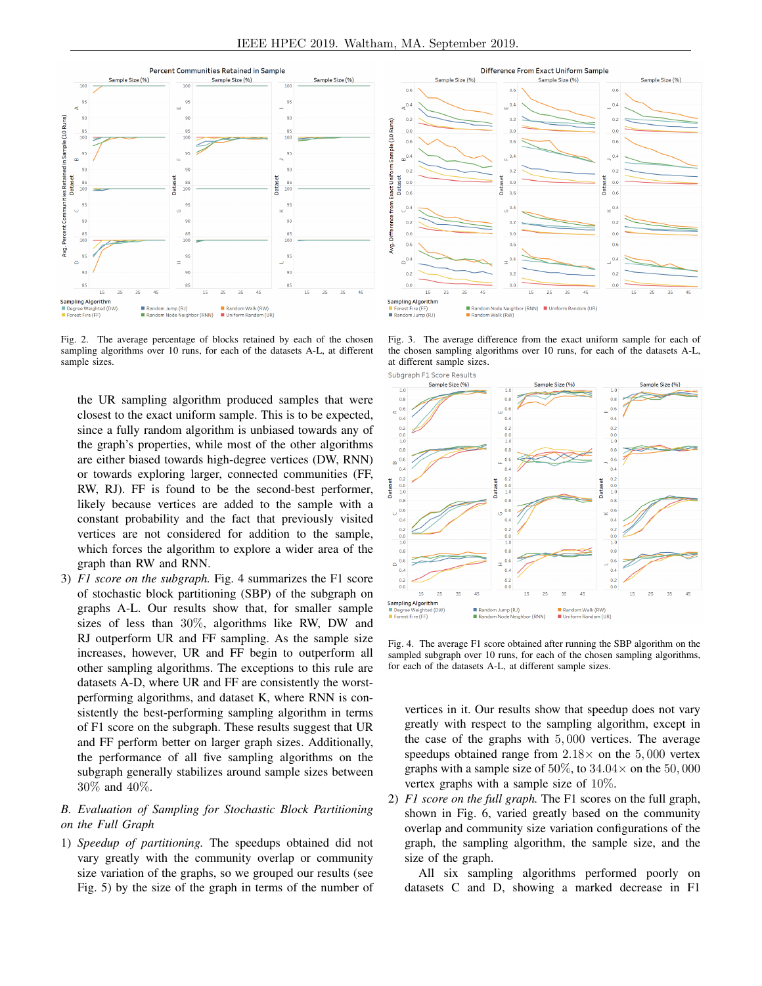

Fig. 2. The average percentage of blocks retained by each of the chosen sampling algorithms over 10 runs, for each of the datasets A-L, at different sample sizes.

the UR sampling algorithm produced samples that were closest to the exact uniform sample. This is to be expected, since a fully random algorithm is unbiased towards any of the graph's properties, while most of the other algorithms are either biased towards high-degree vertices (DW, RNN) or towards exploring larger, connected communities (FF, RW, RJ). FF is found to be the second-best performer, likely because vertices are added to the sample with a constant probability and the fact that previously visited vertices are not considered for addition to the sample, which forces the algorithm to explore a wider area of the graph than RW and RNN.

3) *F1 score on the subgraph.* Fig. 4 summarizes the F1 score of stochastic block partitioning (SBP) of the subgraph on graphs A-L. Our results show that, for smaller sample sizes of less than 30%, algorithms like RW, DW and RJ outperform UR and FF sampling. As the sample size increases, however, UR and FF begin to outperform all other sampling algorithms. The exceptions to this rule are datasets A-D, where UR and FF are consistently the worstperforming algorithms, and dataset K, where RNN is consistently the best-performing sampling algorithm in terms of F1 score on the subgraph. These results suggest that UR and FF perform better on larger graph sizes. Additionally, the performance of all five sampling algorithms on the subgraph generally stabilizes around sample sizes between 30% and 40%.

# *B. Evaluation of Sampling for Stochastic Block Partitioning on the Full Graph*

1) *Speedup of partitioning.* The speedups obtained did not vary greatly with the community overlap or community size variation of the graphs, so we grouped our results (see Fig. 5) by the size of the graph in terms of the number of



Fig. 3. The average difference from the exact uniform sample for each of the chosen sampling algorithms over 10 runs, for each of the datasets A-L, at different sample sizes.



Fig. 4. The average F1 score obtained after running the SBP algorithm on the sampled subgraph over 10 runs, for each of the chosen sampling algorithms, for each of the datasets A-L, at different sample sizes.

vertices in it. Our results show that speedup does not vary greatly with respect to the sampling algorithm, except in the case of the graphs with 5, 000 vertices. The average speedups obtained range from  $2.18\times$  on the 5,000 vertex graphs with a sample size of 50%, to  $34.04 \times$  on the 50,000 vertex graphs with a sample size of 10%.

2) *F1 score on the full graph.* The F1 scores on the full graph, shown in Fig. 6, varied greatly based on the community overlap and community size variation configurations of the graph, the sampling algorithm, the sample size, and the size of the graph.

All six sampling algorithms performed poorly on datasets C and D, showing a marked decrease in F1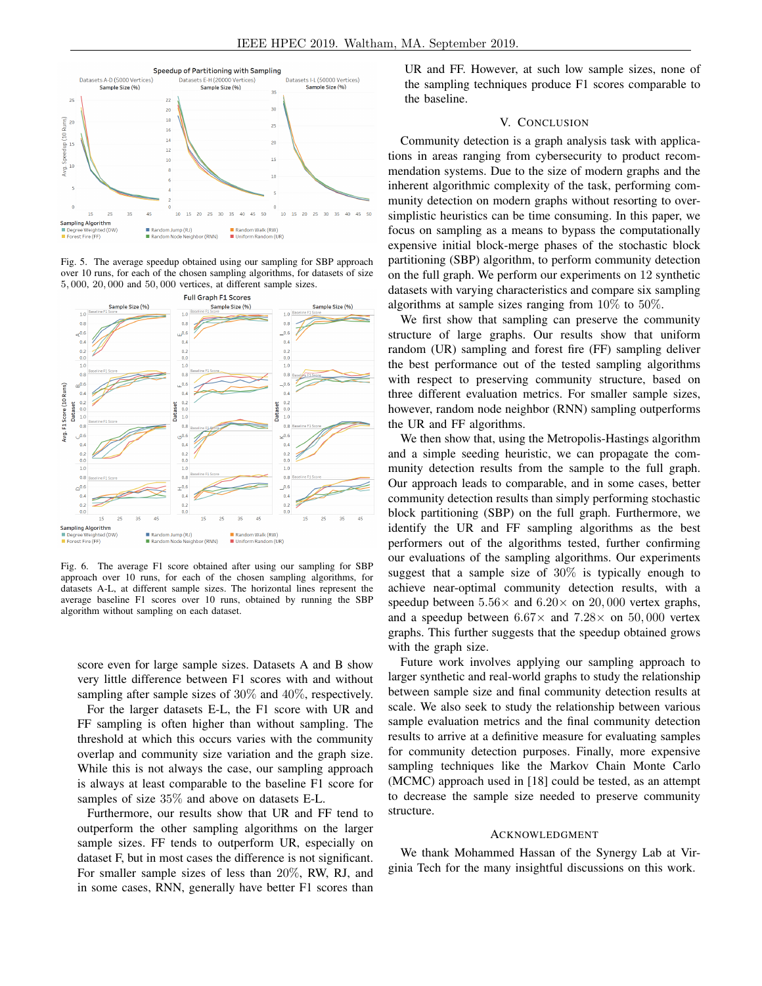

Fig. 5. The average speedup obtained using our sampling for SBP approach over 10 runs, for each of the chosen sampling algorithms, for datasets of size 5, 000, 20, 000 and 50, 000 vertices, at different sample sizes.



Fig. 6. The average F1 score obtained after using our sampling for SBP approach over 10 runs, for each of the chosen sampling algorithms, for datasets A-L, at different sample sizes. The horizontal lines represent the average baseline F1 scores over 10 runs, obtained by running the SBP algorithm without sampling on each dataset.

score even for large sample sizes. Datasets A and B show very little difference between F1 scores with and without sampling after sample sizes of 30% and 40%, respectively.

For the larger datasets E-L, the F1 score with UR and FF sampling is often higher than without sampling. The threshold at which this occurs varies with the community overlap and community size variation and the graph size. While this is not always the case, our sampling approach is always at least comparable to the baseline F1 score for samples of size 35% and above on datasets E-L.

Furthermore, our results show that UR and FF tend to outperform the other sampling algorithms on the larger sample sizes. FF tends to outperform UR, especially on dataset F, but in most cases the difference is not significant. For smaller sample sizes of less than 20%, RW, RJ, and in some cases, RNN, generally have better F1 scores than UR and FF. However, at such low sample sizes, none of the sampling techniques produce F1 scores comparable to the baseline.

## V. CONCLUSION

Community detection is a graph analysis task with applications in areas ranging from cybersecurity to product recommendation systems. Due to the size of modern graphs and the inherent algorithmic complexity of the task, performing community detection on modern graphs without resorting to oversimplistic heuristics can be time consuming. In this paper, we focus on sampling as a means to bypass the computationally expensive initial block-merge phases of the stochastic block partitioning (SBP) algorithm, to perform community detection on the full graph. We perform our experiments on 12 synthetic datasets with varying characteristics and compare six sampling algorithms at sample sizes ranging from  $10\%$  to  $50\%$ .

We first show that sampling can preserve the community structure of large graphs. Our results show that uniform random (UR) sampling and forest fire (FF) sampling deliver the best performance out of the tested sampling algorithms with respect to preserving community structure, based on three different evaluation metrics. For smaller sample sizes, however, random node neighbor (RNN) sampling outperforms the UR and FF algorithms.

We then show that, using the Metropolis-Hastings algorithm and a simple seeding heuristic, we can propagate the community detection results from the sample to the full graph. Our approach leads to comparable, and in some cases, better community detection results than simply performing stochastic block partitioning (SBP) on the full graph. Furthermore, we identify the UR and FF sampling algorithms as the best performers out of the algorithms tested, further confirming our evaluations of the sampling algorithms. Our experiments suggest that a sample size of 30% is typically enough to achieve near-optimal community detection results, with a speedup between  $5.56\times$  and  $6.20\times$  on  $20,000$  vertex graphs, and a speedup between  $6.67\times$  and  $7.28\times$  on  $50,000$  vertex graphs. This further suggests that the speedup obtained grows with the graph size.

Future work involves applying our sampling approach to larger synthetic and real-world graphs to study the relationship between sample size and final community detection results at scale. We also seek to study the relationship between various sample evaluation metrics and the final community detection results to arrive at a definitive measure for evaluating samples for community detection purposes. Finally, more expensive sampling techniques like the Markov Chain Monte Carlo (MCMC) approach used in [18] could be tested, as an attempt to decrease the sample size needed to preserve community structure.

#### ACKNOWLEDGMENT

We thank Mohammed Hassan of the Synergy Lab at Virginia Tech for the many insightful discussions on this work.